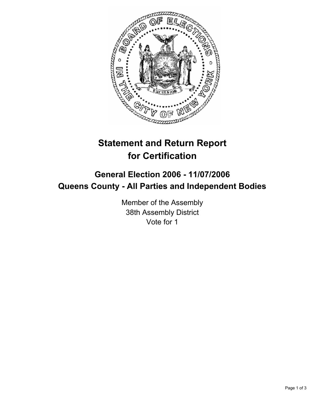

# **Statement and Return Report for Certification**

## **General Election 2006 - 11/07/2006 Queens County - All Parties and Independent Bodies**

Member of the Assembly 38th Assembly District Vote for 1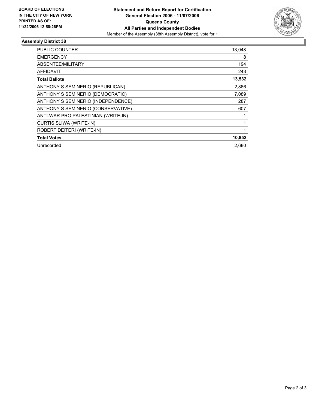

### **Assembly District 38**

| <b>PUBLIC COUNTER</b>               | 13,048 |
|-------------------------------------|--------|
| <b>EMERGENCY</b>                    | 8      |
| ABSENTEE/MILITARY                   | 194    |
| <b>AFFIDAVIT</b>                    | 243    |
| <b>Total Ballots</b>                | 13,532 |
| ANTHONY S SEMINERIO (REPUBLICAN)    | 2,866  |
| ANTHONY S SEMINERIO (DEMOCRATIC)    | 7,089  |
| ANTHONY S SEMINERIO (INDEPENDENCE)  | 287    |
| ANTHONY S SEMINERIO (CONSERVATIVE)  | 607    |
| ANTI-WAR PRO PALESTINIAN (WRITE-IN) |        |
| <b>CURTIS SLIWA (WRITE-IN)</b>      |        |
| ROBERT DEITERI (WRITE-IN)           |        |
| <b>Total Votes</b>                  | 10,852 |
| Unrecorded                          | 2.680  |